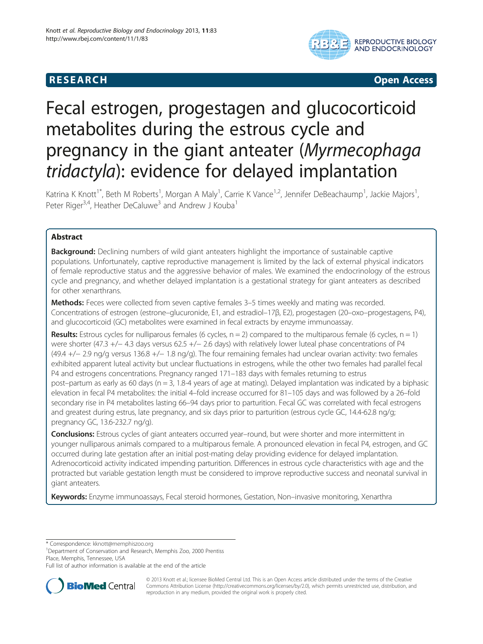## R E S EAR CH Open Access



# Fecal estrogen, progestagen and glucocorticoid metabolites during the estrous cycle and pregnancy in the giant anteater (Myrmecophaga tridactyla): evidence for delayed implantation

Katrina K Knott<sup>1\*</sup>, Beth M Roberts<sup>1</sup>, Morgan A Maly<sup>1</sup>, Carrie K Vance<sup>1,2</sup>, Jennifer DeBeachaump<sup>1</sup>, Jackie Majors<sup>1</sup> , Peter Riger<sup>3,4</sup>, Heather DeCaluwe<sup>3</sup> and Andrew J Kouba<sup>1</sup>

## Abstract

Background: Declining numbers of wild giant anteaters highlight the importance of sustainable captive populations. Unfortunately, captive reproductive management is limited by the lack of external physical indicators of female reproductive status and the aggressive behavior of males. We examined the endocrinology of the estrous cycle and pregnancy, and whether delayed implantation is a gestational strategy for giant anteaters as described for other xenarthrans.

Methods: Feces were collected from seven captive females 3–5 times weekly and mating was recorded. Concentrations of estrogen (estrone–glucuronide, E1, and estradiol–17β, E2), progestagen (20–oxo–progestagens, P4), and glucocorticoid (GC) metabolites were examined in fecal extracts by enzyme immunoassay.

**Results:** Estrous cycles for nulliparous females (6 cycles,  $n = 2$ ) compared to the multiparous female (6 cycles,  $n = 1$ ) were shorter (47.3 +/− 4.3 days versus 62.5 +/− 2.6 days) with relatively lower luteal phase concentrations of P4 (49.4 +/− 2.9 ng/g versus 136.8 +/− 1.8 ng/g). The four remaining females had unclear ovarian activity: two females exhibited apparent luteal activity but unclear fluctuations in estrogens, while the other two females had parallel fecal P4 and estrogens concentrations. Pregnancy ranged 171–183 days with females returning to estrus post–partum as early as 60 days ( $n = 3$ , 1.8-4 years of age at mating). Delayed implantation was indicated by a biphasic elevation in fecal P4 metabolites: the initial 4–fold increase occurred for 81–105 days and was followed by a 26–fold secondary rise in P4 metabolites lasting 66–94 days prior to parturition. Fecal GC was correlated with fecal estrogens and greatest during estrus, late pregnancy, and six days prior to parturition (estrous cycle GC, 14.4-62.8 ng/g; pregnancy GC, 13.6-232.7 ng/g).

Conclusions: Estrous cycles of giant anteaters occurred year-round, but were shorter and more intermittent in younger nulliparous animals compared to a multiparous female. A pronounced elevation in fecal P4, estrogen, and GC occurred during late gestation after an initial post-mating delay providing evidence for delayed implantation. Adrenocorticoid activity indicated impending parturition. Differences in estrous cycle characteristics with age and the protracted but variable gestation length must be considered to improve reproductive success and neonatal survival in giant anteaters.

Keywords: Enzyme immunoassays, Fecal steroid hormones, Gestation, Non-invasive monitoring, Xenarthra

\* Correspondence: [kknott@memphiszoo.org](mailto:kknott@memphiszoo.org) <sup>1</sup>

<sup>1</sup>Department of Conservation and Research, Memphis Zoo, 2000 Prentiss Place, Memphis, Tennessee, USA

Full list of author information is available at the end of the article



© 2013 Knott et al.; licensee BioMed Central Ltd. This is an Open Access article distributed under the terms of the Creative Commons Attribution License [\(http://creativecommons.org/licenses/by/2.0\)](http://creativecommons.org/licenses/by/2.0), which permits unrestricted use, distribution, and reproduction in any medium, provided the original work is properly cited.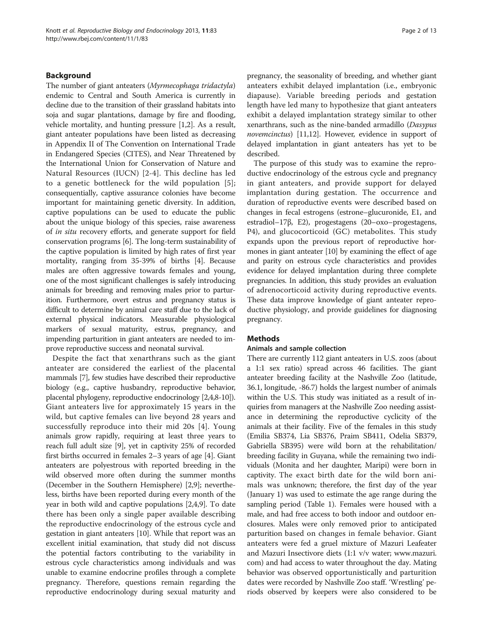## <span id="page-1-0"></span>Background

The number of giant anteaters (Myrmecophaga tridactyla) endemic to Central and South America is currently in decline due to the transition of their grassland habitats into soja and sugar plantations, damage by fire and flooding, vehicle mortality, and hunting pressure [\[1,2](#page-11-0)]. As a result, giant anteater populations have been listed as decreasing in Appendix II of The Convention on International Trade in Endangered Species (CITES), and Near Threatened by the International Union for Conservation of Nature and Natural Resources (IUCN) [[2](#page-11-0)-[4](#page-11-0)]. This decline has led to a genetic bottleneck for the wild population [[5](#page-11-0)]; consequentially, captive assurance colonies have become important for maintaining genetic diversity. In addition, captive populations can be used to educate the public about the unique biology of this species, raise awareness of in situ recovery efforts, and generate support for field conservation programs [\[6](#page-11-0)]. The long-term sustainability of the captive population is limited by high rates of first year mortality, ranging from 35-39% of births [[4\]](#page-11-0). Because males are often aggressive towards females and young, one of the most significant challenges is safely introducing animals for breeding and removing males prior to parturition. Furthermore, overt estrus and pregnancy status is difficult to determine by animal care staff due to the lack of external physical indicators. Measurable physiological markers of sexual maturity, estrus, pregnancy, and impending parturition in giant anteaters are needed to improve reproductive success and neonatal survival.

Despite the fact that xenarthrans such as the giant anteater are considered the earliest of the placental mammals [\[7\]](#page-11-0), few studies have described their reproductive biology (e.g., captive husbandry, reproductive behavior, placental phylogeny, reproductive endocrinology [[2,4,8-10](#page-11-0)]). Giant anteaters live for approximately 15 years in the wild, but captive females can live beyond 28 years and successfully reproduce into their mid 20s [[4\]](#page-11-0). Young animals grow rapidly, requiring at least three years to reach full adult size [[9\]](#page-11-0), yet in captivity 25% of recorded first births occurred in females 2–3 years of age [\[4](#page-11-0)]. Giant anteaters are polyestrous with reported breeding in the wild observed more often during the summer months (December in the Southern Hemisphere) [[2,9](#page-11-0)]; nevertheless, births have been reported during every month of the year in both wild and captive populations [[2,4,9](#page-11-0)]. To date there has been only a single paper available describing the reproductive endocrinology of the estrous cycle and gestation in giant anteaters [\[10](#page-11-0)]. While that report was an excellent initial examination, that study did not discuss the potential factors contributing to the variability in estrous cycle characteristics among individuals and was unable to examine endocrine profiles through a complete pregnancy. Therefore, questions remain regarding the reproductive endocrinology during sexual maturity and pregnancy, the seasonality of breeding, and whether giant anteaters exhibit delayed implantation (i.e., embryonic diapause). Variable breeding periods and gestation length have led many to hypothesize that giant anteaters exhibit a delayed implantation strategy similar to other xenarthrans, such as the nine-banded armadillo (Dasypus novemcinctus) [\[11,12\]](#page-11-0). However, evidence in support of delayed implantation in giant anteaters has yet to be described.

The purpose of this study was to examine the reproductive endocrinology of the estrous cycle and pregnancy in giant anteaters, and provide support for delayed implantation during gestation. The occurrence and duration of reproductive events were described based on changes in fecal estrogens (estrone–glucuronide, E1, and estradiol–17β, E2), progestagens (20–oxo–progestagens, P4), and glucocorticoid (GC) metabolites. This study expands upon the previous report of reproductive hormones in giant anteater [\[10\]](#page-11-0) by examining the effect of age and parity on estrous cycle characteristics and provides evidence for delayed implantation during three complete pregnancies. In addition, this study provides an evaluation of adrenocorticoid activity during reproductive events. These data improve knowledge of giant anteater reproductive physiology, and provide guidelines for diagnosing pregnancy.

## Methods

## Animals and sample collection

There are currently 112 giant anteaters in U.S. zoos (about a 1:1 sex ratio) spread across 46 facilities. The giant anteater breeding facility at the Nashville Zoo (latitude, 36.1, longitude, -86.7) holds the largest number of animals within the U.S. This study was initiated as a result of inquiries from managers at the Nashville Zoo needing assistance in determining the reproductive cyclicity of the animals at their facility. Five of the females in this study (Emilia SB374, Lia SB376, Praim SB411, Odelia SB379, Gabriella SB395) were wild born at the rehabilitation/ breeding facility in Guyana, while the remaining two individuals (Monita and her daughter, Maripi) were born in captivity. The exact birth date for the wild born animals was unknown; therefore, the first day of the year (January 1) was used to estimate the age range during the sampling period (Table [1](#page-2-0)). Females were housed with a male, and had free access to both indoor and outdoor enclosures. Males were only removed prior to anticipated parturition based on changes in female behavior. Giant anteaters were fed a gruel mixture of Mazuri Leafeater and Mazuri Insectivore diets (1:1 v/v water; [www.mazuri.](http://www.mazuri.com) [com](http://www.mazuri.com)) and had access to water throughout the day. Mating behavior was observed opportunistically and parturition dates were recorded by Nashville Zoo staff. 'Wrestling' periods observed by keepers were also considered to be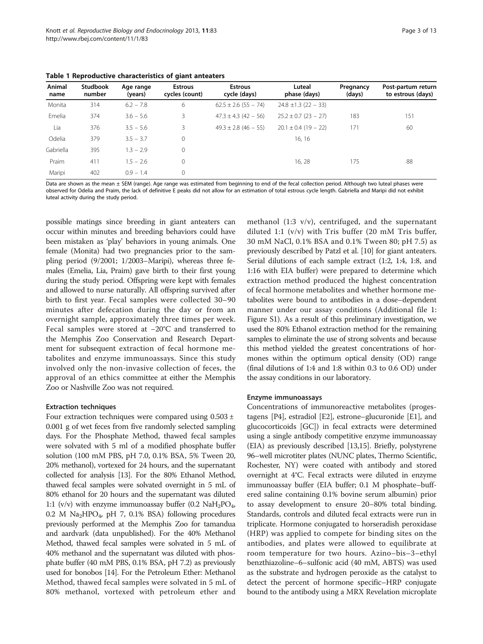<span id="page-2-0"></span>

|  |  |  |  |  | Table 1 Reproductive characteristics of giant anteaters |  |
|--|--|--|--|--|---------------------------------------------------------|--|
|--|--|--|--|--|---------------------------------------------------------|--|

| Animal<br>name | <b>Studbook</b><br>number | Age range<br>(years) | <b>Estrous</b><br>cycles (count) | <b>Estrous</b><br>cycle (days) | Luteal<br>phase (days)   | Pregnancy<br>(days) | Post-partum return<br>to estrous (days) |
|----------------|---------------------------|----------------------|----------------------------------|--------------------------------|--------------------------|---------------------|-----------------------------------------|
| Monita         | 314                       | $6.2 - 7.8$          | 6                                | $62.5 \pm 2.6$ (55 - 74)       | $24.8 \pm 1.3$ (22 - 33) |                     |                                         |
| Emelia         | 374                       | $3.6 - 5.6$          | 3                                | $47.3 \pm 4.3$ (42 – 56)       | $25.2 \pm 0.7$ (23 - 27) | 183                 | 151                                     |
| Lia            | 376                       | $3.5 - 5.6$          | 3                                | $49.3 \pm 2.8$ (46 – 55)       | $20.1 \pm 0.4$ (19 – 22) | 171                 | 60                                      |
| Odelia         | 379                       | $3.5 - 3.7$          | $\mathbf 0$                      |                                | 16.16                    |                     |                                         |
| Gabriella      | 395                       | $1.3 - 2.9$          | $\mathbf{0}$                     |                                |                          |                     |                                         |
| Praim          | 411                       | $1.5 - 2.6$          | $\mathbf{0}$                     |                                | 16, 28                   | 175                 | 88                                      |
| Maripi         | 402                       | $0.9 - 1.4$          | 0                                |                                |                          |                     |                                         |

Data are shown as the mean ± SEM (range). Age range was estimated from beginning to end of the fecal collection period. Although two luteal phases were observed for Odelia and Praim, the lack of definitive E peaks did not allow for an estimation of total estrous cycle length. Gabriella and Maripi did not exhibit luteal activity during the study period.

possible matings since breeding in giant anteaters can occur within minutes and breeding behaviors could have been mistaken as 'play' behaviors in young animals. One female (Monita) had two pregnancies prior to the sampling period (9/2001; 1/2003–Maripi), whereas three females (Emelia, Lia, Praim) gave birth to their first young during the study period. Offspring were kept with females and allowed to nurse naturally. All offspring survived after birth to first year. Fecal samples were collected 30–90 minutes after defecation during the day or from an overnight sample, approximately three times per week. Fecal samples were stored at −20°C and transferred to the Memphis Zoo Conservation and Research Department for subsequent extraction of fecal hormone metabolites and enzyme immunoassays. Since this study involved only the non-invasive collection of feces, the approval of an ethics committee at either the Memphis Zoo or Nashville Zoo was not required.

#### Extraction techniques

Four extraction techniques were compared using  $0.503 \pm$ 0.001 g of wet feces from five randomly selected sampling days. For the Phosphate Method, thawed fecal samples were solvated with 5 ml of a modified phosphate buffer solution (100 mM PBS, pH 7.0, 0.1% BSA, 5% Tween 20, 20% methanol), vortexed for 24 hours, and the supernatant collected for analysis [[13\]](#page-11-0). For the 80% Ethanol Method, thawed fecal samples were solvated overnight in 5 mL of 80% ethanol for 20 hours and the supernatant was diluted 1:1 (v/v) with enzyme immunoassay buffer (0.2 NaH<sub>2</sub>PO<sub>4</sub>, 0.2 M  $\text{Na}_2\text{HPO}_4$ , pH 7, 0.1% BSA) following procedures previously performed at the Memphis Zoo for tamandua and aardvark (data unpublished). For the 40% Methanol Method, thawed fecal samples were solvated in 5 mL of 40% methanol and the supernatant was diluted with phosphate buffer (40 mM PBS, 0.1% BSA, pH 7.2) as previously used for bonobos [\[14\]](#page-11-0). For the Petroleum Ether: Methanol Method, thawed fecal samples were solvated in 5 mL of 80% methanol, vortexed with petroleum ether and

methanol (1:3 v/v), centrifuged, and the supernatant diluted 1:1 (v/v) with Tris buffer (20 mM Tris buffer, 30 mM NaCl, 0.1% BSA and 0.1% Tween 80; pH 7.5) as previously described by Patzl et al. [\[10\]](#page-11-0) for giant anteaters. Serial dilutions of each sample extract (1:2, 1:4, 1:8, and 1:16 with EIA buffer) were prepared to determine which extraction method produced the highest concentration of fecal hormone metabolites and whether hormone metabolites were bound to antibodies in a dose–dependent manner under our assay conditions (Additional file [1](#page-11-0): Figure S1). As a result of this preliminary investigation, we used the 80% Ethanol extraction method for the remaining samples to eliminate the use of strong solvents and because this method yielded the greatest concentrations of hormones within the optimum optical density (OD) range (final dilutions of 1:4 and 1:8 within 0.3 to 0.6 OD) under the assay conditions in our laboratory.

#### Enzyme immunoassays

Concentrations of immunoreactive metabolites (progestagens [P4], estradiol [E2], estrone–glucuronide [E1], and glucocorticoids [GC]) in fecal extracts were determined using a single antibody competitive enzyme immunoassay (EIA) as previously described [\[13,15\]](#page-11-0). Briefly, polystyrene 96–well microtiter plates (NUNC plates, Thermo Scientific, Rochester, NY) were coated with antibody and stored overnight at 4°C. Fecal extracts were diluted in enzyme immunoassay buffer (EIA buffer; 0.1 M phosphate–buffered saline containing 0.1% bovine serum albumin) prior to assay development to ensure 20–80% total binding. Standards, controls and diluted fecal extracts were run in triplicate. Hormone conjugated to horseradish peroxidase (HRP) was applied to compete for binding sites on the antibodies, and plates were allowed to equilibrate at room temperature for two hours. Azino–bis–3–ethyl benzthiazoline–6–sulfonic acid (40 mM, ABTS) was used as the substrate and hydrogen peroxide as the catalyst to detect the percent of hormone specific–HRP conjugate bound to the antibody using a MRX Revelation microplate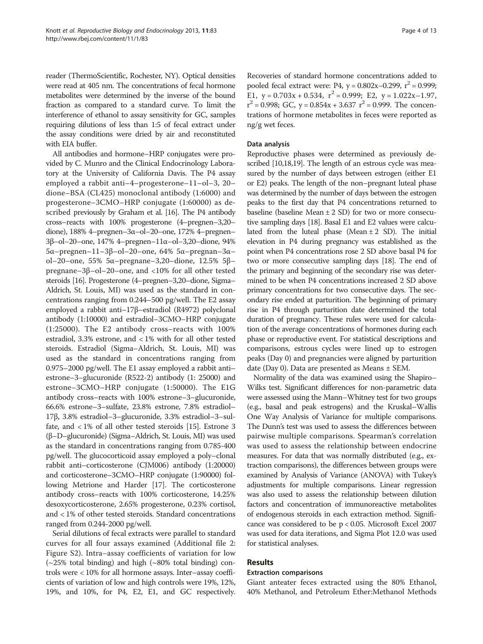reader (ThermoScientific, Rochester, NY). Optical densities were read at 405 nm. The concentrations of fecal hormone metabolites were determined by the inverse of the bound fraction as compared to a standard curve. To limit the interference of ethanol to assay sensitivity for GC, samples requiring dilutions of less than 1:5 of fecal extract under the assay conditions were dried by air and reconstituted with EIA buffer.

All antibodies and hormone–HRP conjugates were provided by C. Munro and the Clinical Endocrinology Laboratory at the University of California Davis. The P4 assay employed a rabbit anti–4–progesterone–11–ol–3, 20– dione–BSA (CL425) monoclonal antibody (1:6000) and progesterone–3CMO–HRP conjugate (1:60000) as described previously by Graham et al. [[16](#page-11-0)]. The P4 antibody cross–reacts with 100% progesterone (4–pregnen–3,20– dione), 188% 4–pregnen–3α–ol–20–one, 172% 4–pregnen– 3β–ol–20–one, 147% 4–pregnen–11α–ol–3,20–dione, 94% 5α–pregnen–11–3β–ol–20–one, 64% 5α–pregnan–3α– ol–20–one, 55% 5α–pregnane–3,20–dione, 12.5% 5β– pregnane–3β–ol–20–one, and <10% for all other tested steroids [\[16\]](#page-11-0). Progesterone (4–pregnen–3,20–dione, Sigma– Aldrich, St. Louis, MI) was used as the standard in concentrations ranging from 0.244–500 pg/well. The E2 assay employed a rabbit anti–17β–estradiol (R4972) polyclonal antibody (1:10000) and estradiol–3CMO–HRP conjugate (1:25000). The E2 antibody cross–reacts with 100% estradiol, 3.3% estrone, and < 1% with for all other tested steroids. Estradiol (Sigma–Aldrich, St. Louis, MI) was used as the standard in concentrations ranging from 0.975–2000 pg/well. The E1 assay employed a rabbit anti– estrone–3–glucuronide (R522-2) antibody (1: 25000) and estrone–3CMO–HRP conjugate (1:50000). The E1G antibody cross–reacts with 100% estrone–3–glucuronide, 66.6% estrone–3–sulfate, 23.8% estrone, 7.8% estradiol– 17β, 3.8% estradiol–3–glucuronide, 3.3% estradiol–3–sulfate, and < 1% of all other tested steroids [[15](#page-11-0)]. Estrone 3 (β–D–glucuronide) (Sigma–Aldrich, St. Louis, MI) was used as the standard in concentrations ranging from 0.785-400 pg/well. The glucocorticoid assay employed a poly–clonal rabbit anti–corticosterone (CJM006) antibody (1:20000) and corticosterone–3CMO–HRP conjugate (1:90000) following Metrione and Harder [[17](#page-11-0)]. The corticosterone antibody cross–reacts with 100% corticosterone, 14.25% desoxycorticosterone, 2.65% progesterone, 0.23% cortisol, and < 1% of other tested steroids. Standard concentrations ranged from 0.244-2000 pg/well.

Serial dilutions of fecal extracts were parallel to standard curves for all four assays examined (Additional file [2](#page-11-0): Figure S2). Intra–assay coefficients of variation for low  $(-25\% \text{ total binding})$  and high  $(-80\% \text{ total binding})$  controls were < 10% for all hormone assays. Inter–assay coefficients of variation of low and high controls were 19%, 12%, 19%, and 10%, for P4, E2, E1, and GC respectively.

Recoveries of standard hormone concentrations added to pooled fecal extract were: P4,  $y = 0.802x - 0.299$ ,  $r^2 = 0.999$ ; E1,  $y = 0.703x + 0.534$ ,  $r^2 = 0.999$ ; E2,  $y = 1.022x - 1.97$ ,  $r^2 = 0.998$ ; GC,  $y = 0.854x + 3.637$   $r^2 = 0.999$ . The concentrations of hormone metabolites in feces were reported as ng/g wet feces.

### Data analysis

Reproductive phases were determined as previously described [[10,18](#page-11-0)[,19\]](#page-12-0). The length of an estrous cycle was measured by the number of days between estrogen (either E1 or E2) peaks. The length of the non–pregnant luteal phase was determined by the number of days between the estrogen peaks to the first day that P4 concentrations returned to baseline (baseline Mean  $\pm$  2 SD) for two or more consecutive sampling days [[18](#page-11-0)]. Basal E1 and E2 values were calculated from the luteal phase (Mean  $\pm$  2 SD). The initial elevation in P4 during pregnancy was established as the point when P4 concentrations rose 2 SD above basal P4 for two or more consecutive sampling days [\[18](#page-11-0)]. The end of the primary and beginning of the secondary rise was determined to be when P4 concentrations increased 2 SD above primary concentrations for two consecutive days. The secondary rise ended at parturition. The beginning of primary rise in P4 through parturition date determined the total duration of pregnancy. These rules were used for calculation of the average concentrations of hormones during each phase or reproductive event. For statistical descriptions and comparisons, estrous cycles were lined up to estrogen peaks (Day 0) and pregnancies were aligned by parturition date (Day 0). Data are presented as Means  $\pm$  SEM.

Normality of the data was examined using the Shapiro– Wilks test. Significant differences for non-parametric data were assessed using the Mann–Whitney test for two groups (e.g., basal and peak estrogens) and the Kruskal–Wallis One Way Analysis of Variance for multiple comparisons. The Dunn's test was used to assess the differences between pairwise multiple comparisons. Spearman's correlation was used to assess the relationship between endocrine measures. For data that was normally distributed (e.g., extraction comparisons), the differences between groups were examined by Analysis of Variance (ANOVA) with Tukey's adjustments for multiple comparisons. Linear regression was also used to assess the relationship between dilution factors and concentration of immunoreactive metabolites of endogenous steroids in each extraction method. Significance was considered to be p < 0.05. Microsoft Excel 2007 was used for data iterations, and Sigma Plot 12.0 was used for statistical analyses.

## Results

#### Extraction comparisons

Giant anteater feces extracted using the 80% Ethanol, 40% Methanol, and Petroleum Ether:Methanol Methods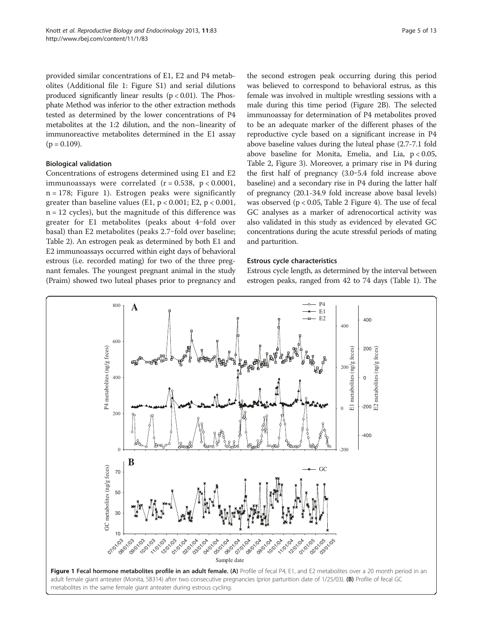<span id="page-4-0"></span>provided similar concentrations of E1, E2 and P4 metabolites (Additional file [1](#page-11-0): Figure S1) and serial dilutions produced significantly linear results  $(p < 0.01)$ . The Phosphate Method was inferior to the other extraction methods tested as determined by the lower concentrations of P4 metabolites at the 1:2 dilution, and the non–linearity of immunoreactive metabolites determined in the E1 assay  $(p = 0.109)$ .

## Biological validation

Concentrations of estrogens determined using E1 and E2 immunoassays were correlated  $(r = 0.538, p < 0.0001,$  $n = 178$ ; Figure 1). Estrogen peaks were significantly greater than baseline values (E1,  $p < 0.001$ ; E2,  $p < 0.001$ ,  $n = 12$  cycles), but the magnitude of this difference was greater for E1 metabolites (peaks about 4-fold over basal) than E2 metabolites (peaks 2.7-fold over baseline; Table [2](#page-5-0)). An estrogen peak as determined by both E1 and E2 immunoassays occurred within eight days of behavioral estrous (i.e. recorded mating) for two of the three pregnant females. The youngest pregnant animal in the study (Praim) showed two luteal phases prior to pregnancy and

the second estrogen peak occurring during this period was believed to correspond to behavioral estrus, as this female was involved in multiple wrestling sessions with a male during this time period (Figure [2](#page-6-0)B). The selected immunoassay for determination of P4 metabolites proved to be an adequate marker of the different phases of the reproductive cycle based on a significant increase in P4 above baseline values during the luteal phase (2.7-7.1 fold above baseline for Monita, Emelia, and Lia,  $p < 0.05$ , Table [2,](#page-5-0) Figure [3\)](#page-7-0). Moreover, a primary rise in P4 during the first half of pregnancy (3.0‒5.4 fold increase above baseline) and a secondary rise in P4 during the latter half of pregnancy (20.1-34.9 fold increase above basal levels) was observed ( $p < 0.05$ , Table [2](#page-5-0) Figure [4\)](#page-8-0). The use of fecal GC analyses as a marker of adrenocortical activity was also validated in this study as evidenced by elevated GC concentrations during the acute stressful periods of mating and parturition.

#### Estrous cycle characteristics

Estrous cycle length, as determined by the interval between estrogen peaks, ranged from 42 to 74 days (Table [1](#page-2-0)). The

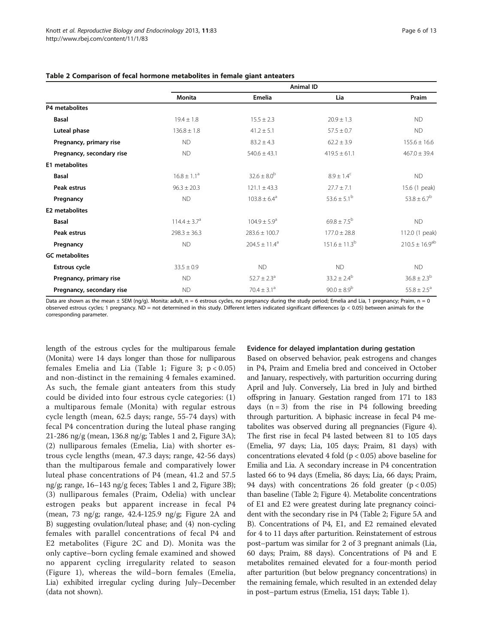|                           | <b>Animal ID</b> |                             |                        |                       |  |  |
|---------------------------|------------------|-----------------------------|------------------------|-----------------------|--|--|
|                           | <b>Monita</b>    | Emelia                      | Lia                    | Praim                 |  |  |
| P4 metabolites            |                  |                             |                        |                       |  |  |
| <b>Basal</b>              | $19.4 \pm 1.8$   | $15.5 \pm 2.3$              | $20.9 \pm 1.3$         | <b>ND</b>             |  |  |
| Luteal phase              | $136.8 \pm 1.8$  | $41.2 \pm 5.1$              | $57.5 \pm 0.7$         | <b>ND</b>             |  |  |
| Pregnancy, primary rise   | <b>ND</b>        | $83.2 \pm 4.3$              | $62.2 \pm 3.9$         | $155.6 \pm 16.6$      |  |  |
| Pregnancy, secondary rise | ND               | $540.6 \pm 43.1$            | $419.5 \pm 61.1$       | $467.0 \pm 39.4$      |  |  |
| E1 metabolites            |                  |                             |                        |                       |  |  |
| <b>Basal</b>              | $16.8 \pm 1.1^a$ | $32.6 \pm 8.0^{b}$          | $8.9 \pm 1.4^{\circ}$  | <b>ND</b>             |  |  |
| Peak estrus               | $96.3 \pm 20.3$  | $121.1 \pm 43.3$            | $27.7 \pm 7.1$         | 15.6 (1 peak)         |  |  |
| Pregnancy                 | <b>ND</b>        | $103.8 \pm 6.4^a$           | $53.6 \pm 5.1^{\circ}$ | $53.8 \pm 6.7^b$      |  |  |
| <b>E2</b> metabolites     |                  |                             |                        |                       |  |  |
| <b>Basal</b>              | $114.4 + 3.7a$   | $104.9 + 5.9a$              | $69.8 \pm 7.5^{b}$     | <b>ND</b>             |  |  |
| Peak estrus               | $298.3 \pm 36.3$ | $283.6 \pm 100.7$           | $177.0 \pm 28.8$       | 112.0 (1 peak)        |  |  |
| Pregnancy                 | <b>ND</b>        | $204.5 \pm 11.4^a$          | $151.6 \pm 11.3^b$     | $210.5 \pm 16.9^{ab}$ |  |  |
| <b>GC</b> metabolites     |                  |                             |                        |                       |  |  |
| <b>Estrous cycle</b>      | $33.5 \pm 0.9$   | <b>ND</b>                   | <b>ND</b>              | <b>ND</b>             |  |  |
| Pregnancy, primary rise   | <b>ND</b>        | $52.7 \pm 2.3$ <sup>a</sup> | $33.2 \pm 2.4^b$       | $36.8 \pm 2.3^{b}$    |  |  |
| Pregnancy, secondary rise | <b>ND</b>        | $70.4 \pm 3.1^a$            | $90.0 \pm 8.9^{b}$     | $55.8 \pm 2.5^a$      |  |  |

#### <span id="page-5-0"></span>Table 2 Comparison of fecal hormone metabolites in female giant anteaters

Data are shown as the mean  $\pm$  SEM (ng/g). Monita: adult, n = 6 estrous cycles, no pregnancy during the study period: Emelia and Lia, 1 pregnancy: Praim, n = 0 observed estrous cycles; 1 pregnancy. ND = not determined in this study. Different letters indicated significant differences ( $p < 0.05$ ) between animals for the corresponding parameter.

length of the estrous cycles for the multiparous female (Monita) were 14 days longer than those for nulliparous females Emelia and Lia (Table [1](#page-2-0); Figure [3;](#page-7-0)  $p < 0.05$ ) and non-distinct in the remaining 4 females examined. As such, the female giant anteaters from this study could be divided into four estrous cycle categories: (1) a multiparous female (Monita) with regular estrous cycle length (mean, 62.5 days; range, 55-74 days) with fecal P4 concentration during the luteal phase ranging 21-286 ng/g (mean, 136.8 ng/g; Tables [1](#page-2-0) and 2, Figure [3](#page-7-0)A); (2) nulliparous females (Emelia, Lia) with shorter estrous cycle lengths (mean, 47.3 days; range, 42-56 days) than the multiparous female and comparatively lower luteal phase concentrations of P4 (mean, 41.2 and 57.5 ng/g; range, 16–143 ng/g feces; Tables [1](#page-2-0) and 2, Figure [3B](#page-7-0)); (3) nulliparous females (Praim, Odelia) with unclear estrogen peaks but apparent increase in fecal P4 (mean, 73 ng/g; range, 42.4-125.9 ng/g; Figure [2A](#page-6-0) and B) suggesting ovulation/luteal phase; and (4) non-cycling females with parallel concentrations of fecal P4 and E2 metabolites (Figure [2](#page-6-0)C and D). Monita was the only captive–born cycling female examined and showed no apparent cycling irregularity related to season (Figure [1\)](#page-4-0), whereas the wild–born females (Emelia, Lia) exhibited irregular cycling during July–December (data not shown).

#### Evidence for delayed implantation during gestation

Based on observed behavior, peak estrogens and changes in P4, Praim and Emelia bred and conceived in October and January, respectively, with parturition occurring during April and July. Conversely, Lia bred in July and birthed offspring in January. Gestation ranged from 171 to 183 days  $(n = 3)$  from the rise in P4 following breeding through parturition. A biphasic increase in fecal P4 metabolites was observed during all pregnancies (Figure [4](#page-8-0)). The first rise in fecal P4 lasted between 81 to 105 days (Emelia, 97 days; Lia, 105 days; Praim, 81 days) with concentrations elevated 4 fold ( $p < 0.05$ ) above baseline for Emilia and Lia. A secondary increase in P4 concentration lasted 66 to 94 days (Emelia, 86 days; Lia, 66 days; Praim, 94 days) with concentrations 26 fold greater  $(p < 0.05)$ than baseline (Table 2; Figure [4\)](#page-8-0). Metabolite concentrations of E1 and E2 were greatest during late pregnancy coincident with the secondary rise in P4 (Table 2; Figure [5](#page-9-0)A and B). Concentrations of P4, E1, and E2 remained elevated for 4 to 11 days after parturition. Reinstatement of estrous post–partum was similar for 2 of 3 pregnant animals (Lia, 60 days; Praim, 88 days). Concentrations of P4 and E metabolites remained elevated for a four-month period after parturition (but below pregnancy concentrations) in the remaining female, which resulted in an extended delay in post–partum estrus (Emelia, 151 days; Table [1\)](#page-2-0).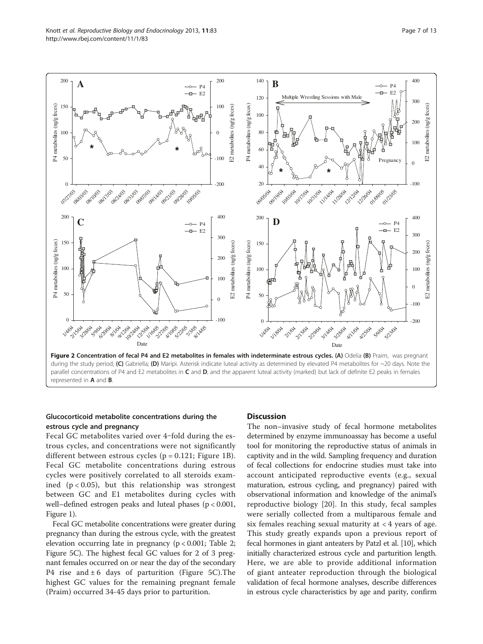<span id="page-6-0"></span>

## Glucocorticoid metabolite concentrations during the estrous cycle and pregnancy

Fecal GC metabolites varied over 4-fold during the estrous cycles, and concentrations were not significantly different between estrous cycles ( $p = 0.121$ ; Figure [1](#page-4-0)B). Fecal GC metabolite concentrations during estrous cycles were positively correlated to all steroids examined  $(p < 0.05)$ , but this relationship was strongest between GC and E1 metabolites during cycles with well–defined estrogen peaks and luteal phases (p < 0.001, Figure [1](#page-4-0)).

Fecal GC metabolite concentrations were greater during pregnancy than during the estrous cycle, with the greatest elevation occurring late in pregnancy (p < 0.001; Table [2](#page-5-0); Figure [5](#page-9-0)C). The highest fecal GC values for 2 of 3 pregnant females occurred on or near the day of the secondary P4 rise and  $\pm 6$  days of parturition (Figure [5C](#page-9-0)). The highest GC values for the remaining pregnant female (Praim) occurred 34-45 days prior to parturition.

#### **Discussion**

The non–invasive study of fecal hormone metabolites determined by enzyme immunoassay has become a useful tool for monitoring the reproductive status of animals in captivity and in the wild. Sampling frequency and duration of fecal collections for endocrine studies must take into account anticipated reproductive events (e.g., sexual maturation, estrous cycling, and pregnancy) paired with observational information and knowledge of the animal's reproductive biology [[20\]](#page-12-0). In this study, fecal samples were serially collected from a multiparous female and six females reaching sexual maturity at  $<$  4 years of age. This study greatly expands upon a previous report of fecal hormones in giant anteaters by Patzl et al. [\[10\]](#page-11-0), which initially characterized estrous cycle and parturition length. Here, we are able to provide additional information of giant anteater reproduction through the biological validation of fecal hormone analyses, describe differences in estrous cycle characteristics by age and parity, confirm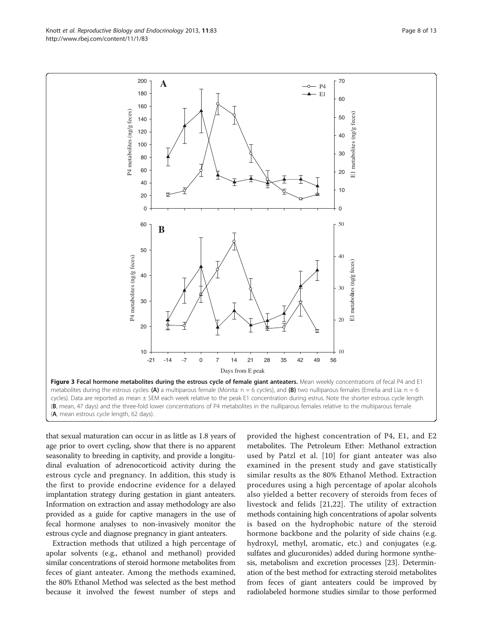that sexual maturation can occur in as little as 1.8 years of age prior to overt cycling, show that there is no apparent seasonality to breeding in captivity, and provide a longitudinal evaluation of adrenocorticoid activity during the estrous cycle and pregnancy. In addition, this study is the first to provide endocrine evidence for a delayed implantation strategy during gestation in giant anteaters. Information on extraction and assay methodology are also provided as a guide for captive managers in the use of fecal hormone analyses to non-invasively monitor the estrous cycle and diagnose pregnancy in giant anteaters.

Extraction methods that utilized a high percentage of apolar solvents (e.g., ethanol and methanol) provided similar concentrations of steroid hormone metabolites from feces of giant anteater. Among the methods examined, the 80% Ethanol Method was selected as the best method because it involved the fewest number of steps and

provided the highest concentration of P4, E1, and E2 metabolites. The Petroleum Ether: Methanol extraction used by Patzl et al. [\[10\]](#page-11-0) for giant anteater was also examined in the present study and gave statistically similar results as the 80% Ethanol Method. Extraction procedures using a high percentage of apolar alcohols also yielded a better recovery of steroids from feces of livestock and felids [[21,22\]](#page-12-0). The utility of extraction methods containing high concentrations of apolar solvents is based on the hydrophobic nature of the steroid hormone backbone and the polarity of side chains (e.g. hydroxyl, methyl, aromatic, etc.) and conjugates (e.g. sulfates and glucuronides) added during hormone synthesis, metabolism and excretion processes [[23](#page-12-0)]. Determination of the best method for extracting steroid metabolites from feces of giant anteaters could be improved by radiolabeled hormone studies similar to those performed



<span id="page-7-0"></span>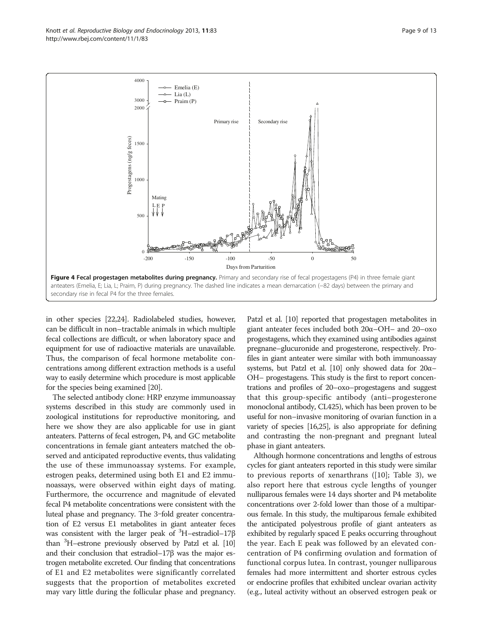<span id="page-8-0"></span>

in other species [\[22,24\]](#page-12-0). Radiolabeled studies, however, can be difficult in non–tractable animals in which multiple fecal collections are difficult, or when laboratory space and equipment for use of radioactive materials are unavailable. Thus, the comparison of fecal hormone metabolite concentrations among different extraction methods is a useful way to easily determine which procedure is most applicable for the species being examined [\[20](#page-12-0)].

The selected antibody clone: HRP enzyme immunoassay systems described in this study are commonly used in zoological institutions for reproductive monitoring, and here we show they are also applicable for use in giant anteaters. Patterns of fecal estrogen, P4, and GC metabolite concentrations in female giant anteaters matched the observed and anticipated reproductive events, thus validating the use of these immunoassay systems. For example, estrogen peaks, determined using both E1 and E2 immunoassays, were observed within eight days of mating. Furthermore, the occurrence and magnitude of elevated fecal P4 metabolite concentrations were consistent with the luteal phase and pregnancy. The 3-fold greater concentration of E2 versus E1 metabolites in giant anteater feces was consistent with the larger peak of  ${}^{3}$ H-estradiol-17 $\beta$ than <sup>3</sup>H-estrone previously observed by Patzl et al. [\[10](#page-11-0)] and their conclusion that estradiol–17β was the major estrogen metabolite excreted. Our finding that concentrations of E1 and E2 metabolites were significantly correlated suggests that the proportion of metabolites excreted may vary little during the follicular phase and pregnancy.

Patzl et al. [\[10\]](#page-11-0) reported that progestagen metabolites in giant anteater feces included both 20α–OH– and 20–oxo progestagens, which they examined using antibodies against pregnane–glucuronide and progesterone, respectively. Profiles in giant anteater were similar with both immunoassay systems, but Patzl et al. [[10](#page-11-0)] only showed data for  $20α-$ OH– progestagens. This study is the first to report concentrations and profiles of 20–oxo–progestagens and suggest that this group-specific antibody (anti–progesterone monoclonal antibody, CL425), which has been proven to be useful for non–invasive monitoring of ovarian function in a variety of species [[16](#page-11-0)[,25\]](#page-12-0), is also appropriate for defining and contrasting the non-pregnant and pregnant luteal phase in giant anteaters.

Although hormone concentrations and lengths of estrous cycles for giant anteaters reported in this study were similar to previous reports of xenarthrans ([\[10](#page-11-0)]; Table [3](#page-10-0)), we also report here that estrous cycle lengths of younger nulliparous females were 14 days shorter and P4 metabolite concentrations over 2-fold lower than those of a multiparous female. In this study, the multiparous female exhibited the anticipated polyestrous profile of giant anteaters as exhibited by regularly spaced E peaks occurring throughout the year. Each E peak was followed by an elevated concentration of P4 confirming ovulation and formation of functional corpus lutea. In contrast, younger nulliparous females had more intermittent and shorter estrous cycles or endocrine profiles that exhibited unclear ovarian activity (e.g., luteal activity without an observed estrogen peak or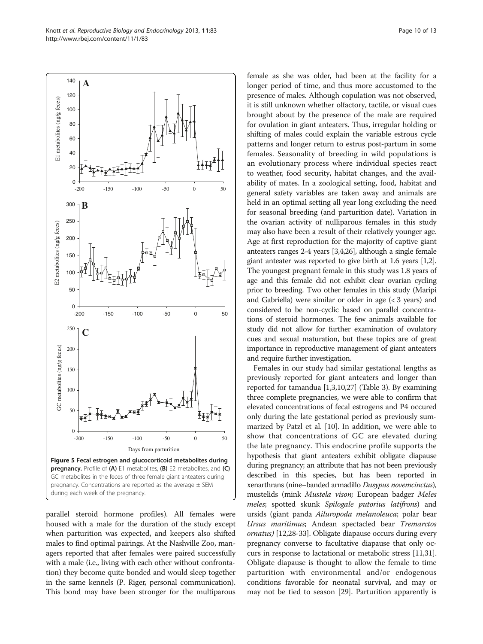parallel steroid hormone profiles). All females were housed with a male for the duration of the study except when parturition was expected, and keepers also shifted males to find optimal pairings. At the Nashville Zoo, managers reported that after females were paired successfully with a male (i.e., living with each other without confrontation) they become quite bonded and would sleep together in the same kennels (P. Riger, personal communication). This bond may have been stronger for the multiparous longer period of time, and thus more accustomed to the presence of males. Although copulation was not observed, it is still unknown whether olfactory, tactile, or visual cues brought about by the presence of the male are required for ovulation in giant anteaters. Thus, irregular holding or shifting of males could explain the variable estrous cycle patterns and longer return to estrus post-partum in some females. Seasonality of breeding in wild populations is an evolutionary process where individual species react to weather, food security, habitat changes, and the availability of mates. In a zoological setting, food, habitat and general safety variables are taken away and animals are held in an optimal setting all year long excluding the need for seasonal breeding (and parturition date). Variation in the ovarian activity of nulliparous females in this study may also have been a result of their relatively younger age. Age at first reproduction for the majority of captive giant anteaters ranges 2-4 years [\[3,4,](#page-11-0)[26](#page-12-0)], although a single female giant anteater was reported to give birth at 1.6 years [\[1,2](#page-11-0)]. The youngest pregnant female in this study was 1.8 years of age and this female did not exhibit clear ovarian cycling prior to breeding. Two other females in this study (Maripi and Gabriella) were similar or older in age  $( $3$  years) and$ considered to be non-cyclic based on parallel concentrations of steroid hormones. The few animals available for study did not allow for further examination of ovulatory cues and sexual maturation, but these topics are of great importance in reproductive management of giant anteaters and require further investigation.

female as she was older, had been at the facility for a

Females in our study had similar gestational lengths as previously reported for giant anteaters and longer than reported for tamandua [\[1,3,10](#page-11-0)[,27](#page-12-0)] (Table [3\)](#page-10-0). By examining three complete pregnancies, we were able to confirm that elevated concentrations of fecal estrogens and P4 occured only during the late gestational period as previously summarized by Patzl et al. [[10](#page-11-0)]. In addition, we were able to show that concentrations of GC are elevated during the late pregnancy. This endocrine profile supports the hypothesis that giant anteaters exhibit obligate diapause during pregnancy; an attribute that has not been previously described in this species, but has been reported in xenarthrans (nine–banded armadillo Dasypus novemcinctus), mustelids (mink Mustela vison; European badger Meles meles; spotted skunk Spilogale putorius latifrons) and ursids (giant panda Ailuropoda melanoleuca; polar bear Ursus maritimus; Andean spectacled bear Tremarctos ornatus) [[12](#page-11-0)[,28-33](#page-12-0)]. Obligate diapause occurs during every pregnancy converse to facultative diapause that only occurs in response to lactational or metabolic stress [\[11,](#page-11-0)[31](#page-12-0)]. Obligate diapause is thought to allow the female to time parturition with environmental and/or endogenous conditions favorable for neonatal survival, and may or may not be tied to season [\[29\]](#page-12-0). Parturition apparently is

<span id="page-9-0"></span>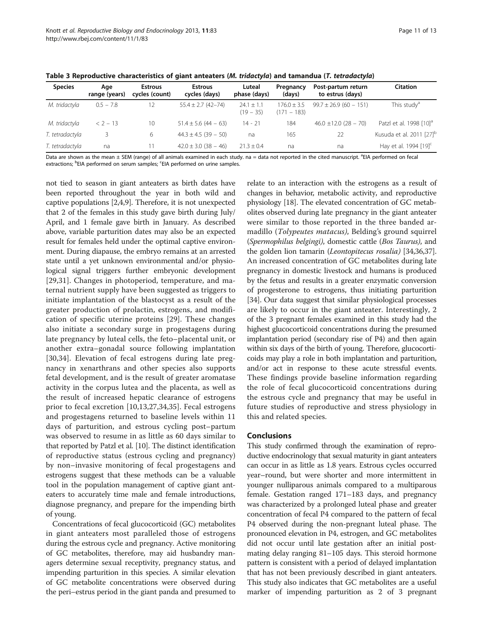| <b>Species</b>  | Aae<br>range (years) | <b>Estrous</b><br>cycles (count) | <b>Estrous</b><br>cycles (days) | Luteal<br>phase (days)        | Pregnancy<br>(days)              | Post-partum return<br>to estrus (days) | <b>Citation</b>                      |
|-----------------|----------------------|----------------------------------|---------------------------------|-------------------------------|----------------------------------|----------------------------------------|--------------------------------------|
| M. tridactyla   | $0.5 - 7.8$          | 12                               | $55.4 \pm 2.7$ (42-74)          | $24.1 \pm 1.1$<br>$(19 - 35)$ | $176.0 \pm 3.5$<br>$(171 - 183)$ | $99.7 \pm 26.9$ (60 - 151)             | This study <sup>a</sup>              |
| M. tridactyla   | $< 2 - 13$           | 10                               | $51.4 \pm 5.6$ (44 - 63)        | $14 - 21$                     | 184                              | $46.0 \pm 12.0$ (28 - 70)              | Patzl et al. 1998 [10] <sup>a</sup>  |
| T. tetradactyla |                      | 6                                | $44.3 \pm 4.5 (39 - 50)$        | na                            | 165                              | 22                                     | Kusuda et al. 2011 [27] <sup>b</sup> |
| T. tetradactyla | na                   | 11                               | $42.0 \pm 3.0$ (38 - 46)        | $21.3 + 0.4$                  | na                               | na                                     | Hay et al. 1994 [19] <sup>c</sup>    |

<span id="page-10-0"></span>Table 3 Reproductive characteristics of giant anteaters (M. tridactyla) and tamandua (T. tetradactyla)

Data are shown as the mean ± SEM (range) of all animals examined in each study. na = data not reported in the cited manuscript. <sup>a</sup>EIA performed on fecal extractions; <sup>b</sup>EIA performed on serum samples; <sup>c</sup>EIA performed on urine samples.

not tied to season in giant anteaters as birth dates have been reported throughout the year in both wild and captive populations [\[2,4,9\]](#page-11-0). Therefore, it is not unexpected that 2 of the females in this study gave birth during July/ April, and 1 female gave birth in January. As described above, variable parturition dates may also be an expected result for females held under the optimal captive environment. During diapause, the embryo remains at an arrested state until a yet unknown environmental and/or physiological signal triggers further embryonic development [[29,31](#page-12-0)]. Changes in photoperiod, temperature, and maternal nutrient supply have been suggested as triggers to initiate implantation of the blastocyst as a result of the greater production of prolactin, estrogens, and modification of specific uterine proteins [[29\]](#page-12-0). These changes also initiate a secondary surge in progestagens during late pregnancy by luteal cells, the feto–placental unit, or another extra–gonadal source following implantation [[30,34](#page-12-0)]. Elevation of fecal estrogens during late pregnancy in xenarthrans and other species also supports fetal development, and is the result of greater aromatase activity in the corpus lutea and the placenta, as well as the result of increased hepatic clearance of estrogens prior to fecal excretion [\[10](#page-11-0),[13,](#page-11-0)[27,34,35](#page-12-0)]. Fecal estrogens and progestagens returned to baseline levels within 11 days of parturition, and estrous cycling post–partum was observed to resume in as little as 60 days similar to that reported by Patzl et al. [\[10\]](#page-11-0). The distinct identification of reproductive status (estrous cycling and pregnancy) by non–invasive monitoring of fecal progestagens and estrogens suggest that these methods can be a valuable tool in the population management of captive giant anteaters to accurately time male and female introductions, diagnose pregnancy, and prepare for the impending birth of young.

Concentrations of fecal glucocorticoid (GC) metabolites in giant anteaters most paralleled those of estrogens during the estrous cycle and pregnancy. Active monitoring of GC metabolites, therefore, may aid husbandry managers determine sexual receptivity, pregnancy status, and impending parturition in this species. A similar elevation of GC metabolite concentrations were observed during the peri–estrus period in the giant panda and presumed to relate to an interaction with the estrogens as a result of changes in behavior, metabolic activity, and reproductive physiology [[18](#page-11-0)]. The elevated concentration of GC metabolites observed during late pregnancy in the giant anteater were similar to those reported in the three banded armadillo (Tolypeutes matacus), Belding's ground squirrel (Spermophilus belgingi), domestic cattle (Bos Taurus), and the golden lion tamarin (Leontopitecus rosalia) [\[34,36,37](#page-12-0)]. An increased concentration of GC metabolites during late pregnancy in domestic livestock and humans is produced by the fetus and results in a greater enzymatic conversion of progesterone to estrogens, thus initiating parturition [[34](#page-12-0)]. Our data suggest that similar physiological processes are likely to occur in the giant anteater. Interestingly, 2 of the 3 pregnant females examined in this study had the highest glucocorticoid concentrations during the presumed implantation period (secondary rise of P4) and then again within six days of the birth of young. Therefore, glucocorticoids may play a role in both implantation and parturition, and/or act in response to these acute stressful events. These findings provide baseline information regarding the role of fecal glucocorticoid concentrations during the estrous cycle and pregnancy that may be useful in future studies of reproductive and stress physiology in this and related species.

## Conclusions

This study confirmed through the examination of reproductive endocrinology that sexual maturity in giant anteaters can occur in as little as 1.8 years. Estrous cycles occurred year–round, but were shorter and more intermittent in younger nulliparous animals compared to a multiparous female. Gestation ranged 171–183 days, and pregnancy was characterized by a prolonged luteal phase and greater concentration of fecal P4 compared to the pattern of fecal P4 observed during the non-pregnant luteal phase. The pronounced elevation in P4, estrogen, and GC metabolites did not occur until late gestation after an initial postmating delay ranging 81–105 days. This steroid hormone pattern is consistent with a period of delayed implantation that has not been previously described in giant anteaters. This study also indicates that GC metabolites are a useful marker of impending parturition as 2 of 3 pregnant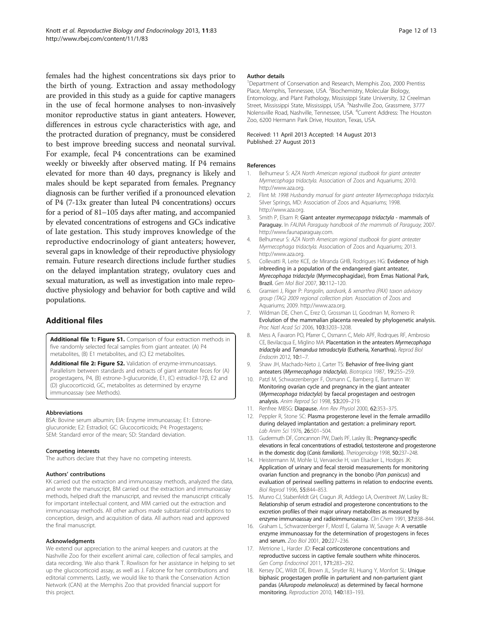<span id="page-11-0"></span>females had the highest concentrations six days prior to the birth of young. Extraction and assay methodology are provided in this study as a guide for captive managers in the use of fecal hormone analyses to non-invasively monitor reproductive status in giant anteaters. However, differences in estrous cycle characteristics with age, and the protracted duration of pregnancy, must be considered to best improve breeding success and neonatal survival. For example, fecal P4 concentrations can be examined weekly or biweekly after observed mating. If P4 remains elevated for more than 40 days, pregnancy is likely and males should be kept separated from females. Pregnancy diagnosis can be further verified if a pronounced elevation of P4 (7-13x greater than luteal P4 concentrations) occurs for a period of 81–105 days after mating, and accompanied by elevated concentrations of estrogens and GCs indicative of late gestation. This study improves knowledge of the reproductive endocrinology of giant anteaters; however, several gaps in knowledge of their reproductive physiology remain. Future research directions include further studies on the delayed implantation strategy, ovulatory cues and sexual maturation, as well as investigation into male reproductive physiology and behavior for both captive and wild populations.

## Additional files

[Additional file 1: Figure S1.](http://www.biomedcentral.com/content/supplementary/1477-7827-11-83-S1.pdf) Comparison of four extraction methods in five randomly selected fecal samples from giant anteater. (A) P4 metabolites, (B) E1 metabolites, and (C) E2 metabolites.

[Additional file 2: Figure S2.](http://www.biomedcentral.com/content/supplementary/1477-7827-11-83-S2.pdf) Validation of enzyme-immunoassays. Parallelism between standards and extracts of giant anteater feces for (A) progestagens, P4, (B) estrone-3-glucuronide, E1, (C) estradiol-17β, E2 and (D) glucocorticoid, GC, metabolites as determined by enzyme immunoassay (see [Methods\)](#page-1-0).

#### Abbreviations

BSA: Bovine serum albumin; EIA: Enzyme immunoassay; E1: Estroneglucuronide; E2: Estradiol; GC: Glucocorticoids; P4: Progestagens; SEM: Standard error of the mean; SD: Standard deviation.

#### Competing interests

The authors declare that they have no competing interests.

#### Authors' contributions

KK carried out the extraction and immunoassay methods, analyzed the data, and wrote the manuscript, BM carried out the extraction and immunoassay methods, helped draft the manuscript, and revised the manuscript critically for important intellectual content, and MM carried out the extraction and immunoassay methods. All other authors made substantial contributions to conception, design, and acquisition of data. All authors read and approved the final manuscript.

#### Acknowledgments

We extend our appreciation to the animal keepers and curators at the Nashville Zoo for their excellent animal care, collection of fecal samples, and data recording. We also thank T. Rowlison for her assistance in helping to set up the glucocorticoid assay, as well as J. Falcone for her contributions and editorial comments. Lastly, we would like to thank the Conservation Action Network (CAN) at the Memphis Zoo that provided financial support for this project.

#### Author details

<sup>1</sup>Department of Conservation and Research, Memphis Zoo, 2000 Prentiss Place, Memphis, Tennessee, USA. <sup>2</sup>Biochemistry, Molecular Biology, Entomology, and Plant Pathology, Mississippi State University, 32 Creelman Street, Mississippi State, Mississippi, USA. <sup>3</sup>Nashville Zoo, Grassmere, 3777 Nolensville Road, Nashville, Tennessee, USA. <sup>4</sup>Current Address: The Houston Zoo, 6200 Hermann Park Drive, Houston, Texas, USA.

#### Received: 11 April 2013 Accepted: 14 August 2013 Published: 27 August 2013

#### References

- Belhumeur S: AZA North American regional studbook for giant anteater Myrmecophaga tridactyla. Association of Zoos and Aquariums; 2010. <http://www.aza.org>.
- 2. Flint M: 1998 Husbandry manual for giant anteater Myrmecophaga tridactyla. Silver Springs, MD; Association of Zoos and Aquariums; 1998. <http://www.aza.org>.
- 3. Smith P, Elsam R: Giant anteater myrmecopaga tridactyla mammals of Paraguay. In FAUNA Paraguay handbook of the mammals of Paraguay; 2007. <http://www.faunaparaguay.com>.
- 4. Belhumeur S: AZA North American regional studbook for giant anteater Myrmecophaga tridactyla. Association of Zoos and Aquariums; 2013. <http://www.aza.org>.
- 5. Collevatti R, Leite KCE, de Miranda GHB, Rodrigues HG: Evidence of high inbreeding in a population of the endangered giant anteater, Myrecophaga tridactyla (Myrmecophagidae), from Emas National Park, Brazil. Gen Mol Biol 2007, 30:112–120.
- 6. Gramieri J, Riger P: Pangolin, aardvark, & xenarthra (PAX) taxon advisory group (TAG) 2009 regional collection plan. Association of Zoos and Aquariums; 2009.<http://www.aza.org>.
- 7. Wildman DE, Chen C, Erez O, Grossman LI, Goodman M, Romero R: Evolution of the mammalian placenta revealed by phylogenetic analysis. Proc Natl Acad Sci 2006, 103:3203–3208.
- 8. Mess A, Favaron PO, Pfarrer C, Osmann C, Melo APF, Rodrques RF, Ambrosio CE, Bevilacqua E, Miglino MA: Placentation in the anteaters Myrmecophaga tridactyla and Tamandua tetradactyla (Eutheria, Xenarthra). Reprod Biol Endocrin 2012, 10:1–7.
- 9. Shaw JH, Machado-Neto J, Carter TS: Behavior of free-living giant anteaters (Myrmecophaga tridactyla). Biotropica 1987, 19:255–259.
- 10. Patzl M, Schwarzenberger F, Osmann C, Bamberg E, Bartmann W: Monitoring ovarian cycle and pregnancy in the giant anteater (Myrmecophaga tridactyla) by faecal progestagen and oestrogen analysis. Anim Reprod Sci 1998, 53:209-219.
- 11. Renfree MBSG: Diapause. Ann Rev Physiol 2000, 62:353-375.
- 12. Peppler R, Stone SC: Plasma progesterone level in the female armadillo during delayed implantation and gestation: a preliminary report. Lab Anim Sci 1976, 26:501–504.
- 13. Gudermuth DF, Concannon PW, Daels PF, Lasley BL: Pregnancy-specific elevations in fecal concentrations of estradiol, testosterone and progesterone in the domestic dog (Canis familiaris). Theriogenology 1998, 50:237–248.
- 14. Heistermann M, Mohle U, Vervaecke H, van Elsacker L, Hodges JK: Application of urinary and fecal steroid measurements for monitoring ovarian function and pregnancy in the bonobo (Pan paniscus) and evaluation of perineal swelling patterns in relation to endocrine events. Biol Reprod 1996, 55:844–853.
- 15. Munro CJ, Stabenfeldt GH, Cragun JR, Addiego LA, Overstreet JW, Lasley BL: Relationship of serum estradiol and progesterone concentrations to the excretion profiles of their major urinary metabolites as measured by enzyme immunoassay and radioimmunoassay. Clin Chem 1991, 37:838-844.
- 16. Graham L, Schwarzenberger F, Mostl E, Galama W, Savage A: A versatile enzyme immunoassay for the determination of progestogens in feces and serum. Zoo Biol 2001, 20:227–236.
- 17. Metrione L. Harder JD: Fecal corticosterone concentrations and reproductive success in captive female southern white rhinoceros. Gen Comp Endocrinol 2011, 171:283–292.
- 18. Kersey DC, Wildt DE, Brown JL, Snyder RJ, Huang Y, Monfort SL: Unique biphasic progestagen profile in parturient and non-parturient giant pandas (Ailuropoda melanoleuca) as determined by faecal hormone monitoring. Reproduction 2010, 140:183–193.